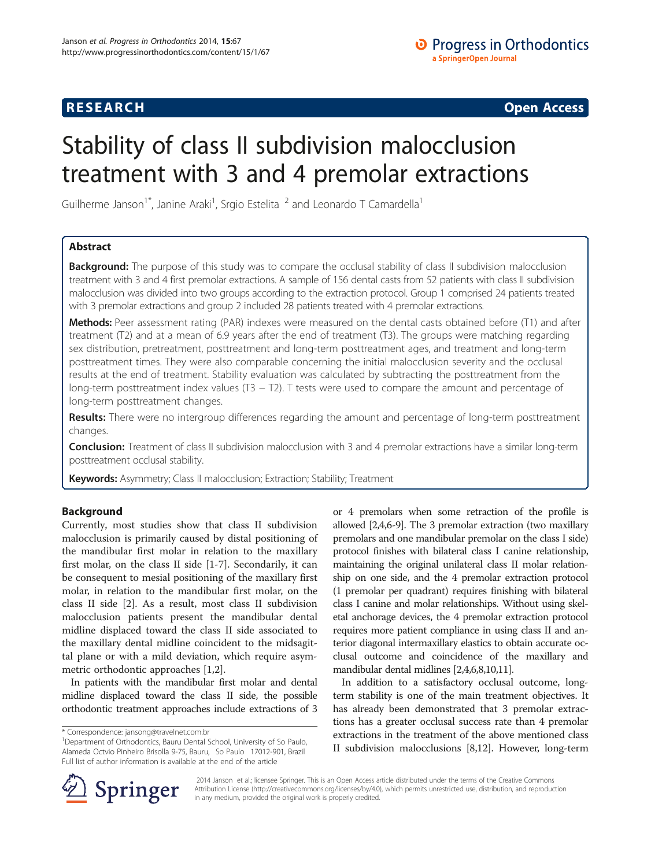## **RESEARCH RESEARCH CONSUMING ACCESS**

# Stability of class II subdivision malocclusion treatment with 3 and 4 premolar extractions

Guilherme Janson<sup>1\*</sup>, Janine Araki<sup>1</sup>, Srgio Estelita <sup>2</sup> and Leonardo T Camardella<sup>1</sup>

### Abstract

Background: The purpose of this study was to compare the occlusal stability of class II subdivision malocclusion treatment with 3 and 4 first premolar extractions. A sample of 156 dental casts from 52 patients with class II subdivision malocclusion was divided into two groups according to the extraction protocol. Group 1 comprised 24 patients treated with 3 premolar extractions and group 2 included 28 patients treated with 4 premolar extractions.

Methods: Peer assessment rating (PAR) indexes were measured on the dental casts obtained before (T1) and after treatment (T2) and at a mean of 6.9 years after the end of treatment (T3). The groups were matching regarding sex distribution, pretreatment, posttreatment and long-term posttreatment ages, and treatment and long-term posttreatment times. They were also comparable concerning the initial malocclusion severity and the occlusal results at the end of treatment. Stability evaluation was calculated by subtracting the posttreatment from the long-term posttreatment index values (T3 – T2). T tests were used to compare the amount and percentage of long-term posttreatment changes.

Results: There were no intergroup differences regarding the amount and percentage of long-term posttreatment changes.

Conclusion: Treatment of class II subdivision malocclusion with 3 and 4 premolar extractions have a similar long-term posttreatment occlusal stability.

Keywords: Asymmetry; Class II malocclusion; Extraction; Stability; Treatment

#### Background

Currently, most studies show that class II subdivision malocclusion is primarily caused by distal positioning of the mandibular first molar in relation to the maxillary first molar, on the class II side [[1-7](#page-4-0)]. Secondarily, it can be consequent to mesial positioning of the maxillary first molar, in relation to the mandibular first molar, on the class II side [\[2](#page-4-0)]. As a result, most class II subdivision malocclusion patients present the mandibular dental midline displaced toward the class II side associated to the maxillary dental midline coincident to the midsagittal plane or with a mild deviation, which require asymmetric orthodontic approaches [\[1,2](#page-4-0)].

In patients with the mandibular first molar and dental midline displaced toward the class II side, the possible orthodontic treatment approaches include extractions of 3 or 4 premolars when some retraction of the profile is allowed [\[2,4,6-9\]](#page-4-0). The 3 premolar extraction (two maxillary premolars and one mandibular premolar on the class I side) protocol finishes with bilateral class I canine relationship, maintaining the original unilateral class II molar relationship on one side, and the 4 premolar extraction protocol (1 premolar per quadrant) requires finishing with bilateral class I canine and molar relationships. Without using skeletal anchorage devices, the 4 premolar extraction protocol requires more patient compliance in using class II and anterior diagonal intermaxillary elastics to obtain accurate occlusal outcome and coincidence of the maxillary and mandibular dental midlines [[2,4,6,8,10,11](#page-4-0)].

In addition to a satisfactory occlusal outcome, longterm stability is one of the main treatment objectives. It has already been demonstrated that 3 premolar extractions has a greater occlusal success rate than 4 premolar extractions in the treatment of the above mentioned class II subdivision malocclusions [[8,12](#page-4-0)]. However, long-term



? 2014 Janson et al.; licensee Springer. This is an Open Access article distributed under the terms of the Creative Commons Attribution License [\(http://creativecommons.org/licenses/by/4.0\)](http://creativecommons.org/licenses/by/4.0), which permits unrestricted use, distribution, and reproduction in any medium, provided the original work is properly credited.

<sup>\*</sup> Correspondence: [jansong@travelnet.com.br](mailto:jansong@travelnet.com.br) <sup>1</sup>

<sup>&</sup>lt;sup>1</sup>Department of Orthodontics, Bauru Dental School, University of So Paulo, Alameda Octvio Pinheiro Brisolla 9-75, Bauru, So Paulo 17012-901, Brazil Full list of author information is available at the end of the article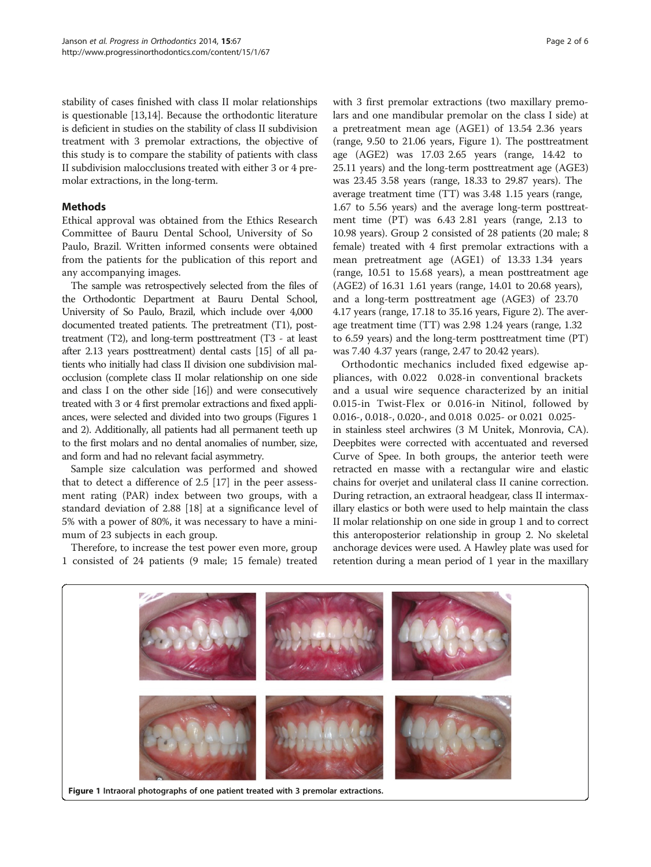stability of cases finished with class II molar relationships is questionable [[13](#page-4-0)[,14](#page-5-0)]. Because the orthodontic literature is deficient in studies on the stability of class II subdivision treatment with 3 premolar extractions, the objective of this study is to compare the stability of patients with class II subdivision malocclusions treated with either 3 or 4 premolar extractions, in the long-term.

#### Methods

Ethical approval was obtained from the Ethics Research Committee of Bauru Dental School, University of So Paulo, Brazil. Written informed consents were obtained from the patients for the publication of this report and any accompanying images.

The sample was retrospectively selected from the files of the Orthodontic Department at Bauru Dental School, University of So Paulo, Brazil, which include over 4,000 documented treated patients. The pretreatment (T1), posttreatment (T2), and long-term posttreatment (T3 - at least after 2.13 years posttreatment) dental casts [[15\]](#page-5-0) of all patients who initially had class II division one subdivision malocclusion (complete class II molar relationship on one side and class I on the other side [\[16\]](#page-5-0)) and were consecutively treated with 3 or 4 first premolar extractions and fixed appliances, were selected and divided into two groups (Figures 1 and [2\)](#page-2-0). Additionally, all patients had all permanent teeth up to the first molars and no dental anomalies of number, size, and form and had no relevant facial asymmetry.

Sample size calculation was performed and showed that to detect a difference of 2.5 [[17](#page-5-0)] in the peer assessment rating (PAR) index between two groups, with a standard deviation of 2.88 [[18](#page-5-0)] at a significance level of 5% with a power of 80%, it was necessary to have a minimum of 23 subjects in each group.

Therefore, to increase the test power even more, group 1 consisted of 24 patients (9 male; 15 female) treated

with 3 first premolar extractions (two maxillary premolars and one mandibular premolar on the class I side) at a pretreatment mean age (AGE1) of 13.54 2.36 years (range, 9.50 to 21.06 years, Figure 1). The posttreatment age (AGE2) was 17.03 2.65 years (range, 14.42 to 25.11 years) and the long-term posttreatment age (AGE3) was 23.45? 3.58 years (range, 18.33 to 29.87 years). The average treatment time (TT) was 3.48? 1.15 years (range, 1.67 to 5.56 years) and the average long-term posttreatment time (PT) was 6.43 2.81 years (range, 2.13 to 10.98 years). Group 2 consisted of 28 patients (20 male; 8 female) treated with 4 first premolar extractions with a mean pretreatment age (AGE1) of 13.33 1.34 years (range, 10.51 to 15.68 years), a mean posttreatment age  $(AGE2)$  of 16.31 1.61 years (range, 14.01 to 20.68 years), and a long-term posttreatment age (AGE3) of 23.70? 4.17 years (range, 17.18 to 35.16 years, Figure [2\)](#page-2-0). The average treatment time (TT) was 2.98 1.24 years (range, 1.32 to 6.59 years) and the long-term posttreatment time (PT) was 7.40 4.37 years (range, 2.47 to 20.42 years).

Orthodontic mechanics included fixed edgewise appliances, with 0.022 0.028-in conventional brackets and a usual wire sequence characterized by an initial 0.015-in Twist-Flex or 0.016-in Nitinol, followed by 0.016-, 0.018-, 0.020-, and 0.018 0.025- or 0.021 0.025in stainless steel archwires (3 M Unitek, Monrovia, CA). Deepbites were corrected with accentuated and reversed Curve of Spee. In both groups, the anterior teeth were retracted en masse with a rectangular wire and elastic chains for overjet and unilateral class II canine correction. During retraction, an extraoral headgear, class II intermaxillary elastics or both were used to help maintain the class II molar relationship on one side in group 1 and to correct this anteroposterior relationship in group 2. No skeletal anchorage devices were used. A Hawley plate was used for retention during a mean period of 1 year in the maxillary



Figure 1 Intraoral photographs of one patient treated with 3 premolar extractions.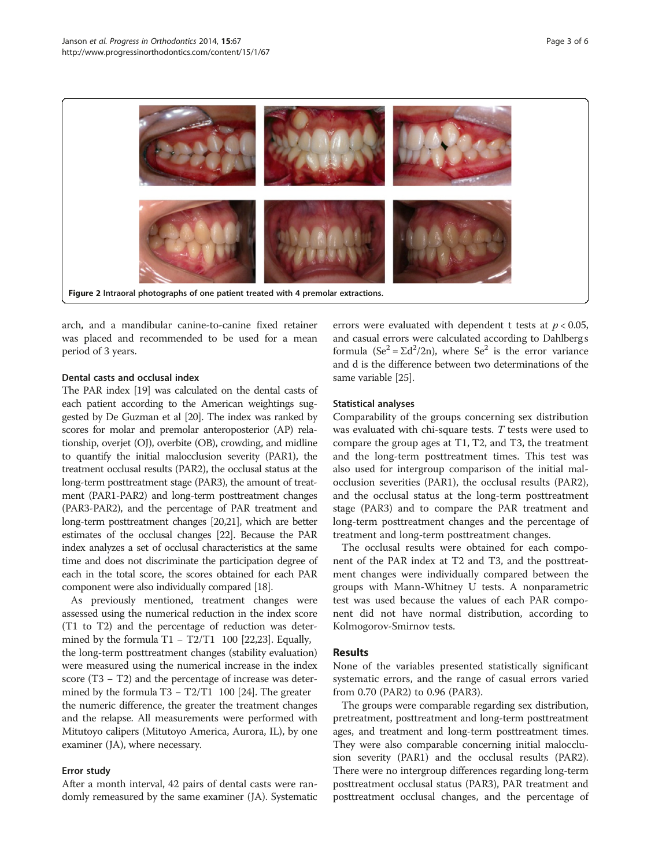<span id="page-2-0"></span>

arch, and a mandibular canine-to-canine fixed retainer was placed and recommended to be used for a mean period of 3 years.

#### Dental casts and occlusal index

The PAR index [\[19\]](#page-5-0) was calculated on the dental casts of each patient according to the American weightings suggested by De Guzman et al [\[20](#page-5-0)]. The index was ranked by scores for molar and premolar anteroposterior (AP) relationship, overjet (OJ), overbite (OB), crowding, and midline to quantify the initial malocclusion severity (PAR1), the treatment occlusal results (PAR2), the occlusal status at the long-term posttreatment stage (PAR3), the amount of treatment (PAR1-PAR2) and long-term posttreatment changes (PAR3-PAR2), and the percentage of PAR treatment and long-term posttreatment changes [[20,21](#page-5-0)], which are better estimates of the occlusal changes [\[22](#page-5-0)]. Because the PAR index analyzes a set of occlusal characteristics at the same time and does not discriminate the participation degree of each in the total score, the scores obtained for each PAR component were also individually compared [\[18\]](#page-5-0).

As previously mentioned, treatment changes were assessed using the numerical reduction in the index score (T1 to T2) and the percentage of reduction was deter-mined by the formula T1 – T2/T1 100 [2[2,23\].](#page-5-0) Equally, the long-term posttreatment changes (stability evaluation) were measured using the numerical increase in the index score (T3 – T2) and the percentage of increase was deter-mined by the formula T3 – T2/T1 100 [2[4\].](#page-5-0) The greater the numeric difference, the greater the treatment changes and the relapse. All measurements were performed with Mitutoyo calipers (Mitutoyo America, Aurora, IL), by one examiner (JA), where necessary.

#### Error study

After a month interval, 42 pairs of dental casts were randomly remeasured by the same examiner (JA). Systematic errors were evaluated with dependent t tests at  $p < 0.05$ , and casual errors were calculated according to Dahlberg s formula ( $Se^2 = \Sigma d^2/2n$ ), where  $Se^2$  is the error variance and d is the difference between two determinations of the same variable [\[25](#page-5-0)].

#### Statistical analyses

Comparability of the groups concerning sex distribution was evaluated with chi-square tests. T tests were used to compare the group ages at T1, T2, and T3, the treatment and the long-term posttreatment times. This test was also used for intergroup comparison of the initial malocclusion severities (PAR1), the occlusal results (PAR2), and the occlusal status at the long-term posttreatment stage (PAR3) and to compare the PAR treatment and long-term posttreatment changes and the percentage of treatment and long-term posttreatment changes.

The occlusal results were obtained for each component of the PAR index at T2 and T3, and the posttreatment changes were individually compared between the groups with Mann-Whitney U tests. A nonparametric test was used because the values of each PAR component did not have normal distribution, according to Kolmogorov-Smirnov tests.

#### Results

None of the variables presented statistically significant systematic errors, and the range of casual errors varied from 0.70 (PAR2) to 0.96 (PAR3).

The groups were comparable regarding sex distribution, pretreatment, posttreatment and long-term posttreatment ages, and treatment and long-term posttreatment times. They were also comparable concerning initial malocclusion severity (PAR1) and the occlusal results (PAR2). There were no intergroup differences regarding long-term posttreatment occlusal status (PAR3), PAR treatment and posttreatment occlusal changes, and the percentage of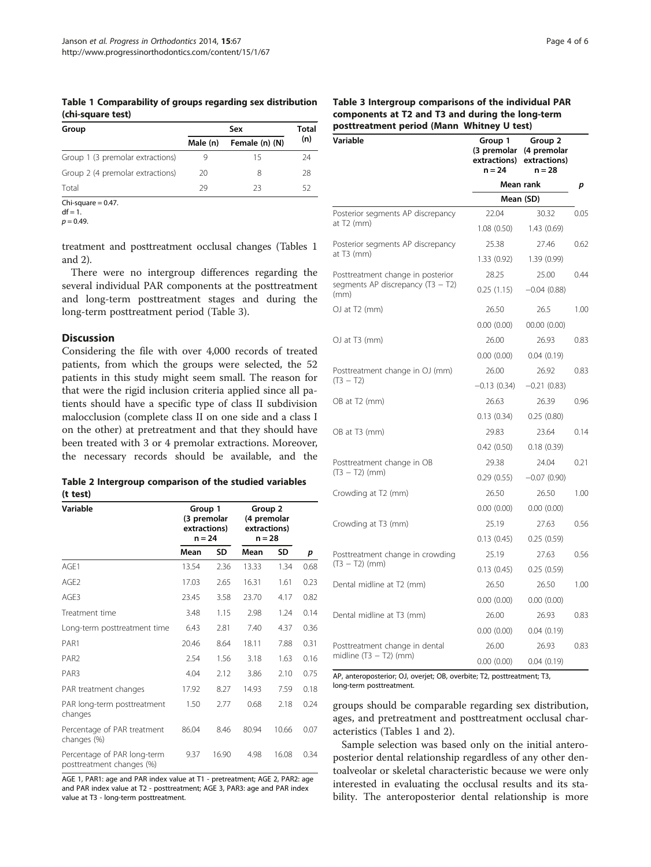<span id="page-3-0"></span>Table 1 Comparability of groups regarding sex distribution (chi-square test)

| Group                            |          | Total          |     |
|----------------------------------|----------|----------------|-----|
|                                  | Male (n) | Female (n) (N) | (n) |
| Group 1 (3 premolar extractions) |          | 15             | 24  |
| Group 2 (4 premolar extractions) | 20       | 8              | 28  |
| Total                            | 79       | 23             | י ה |

 $Chi-square = 0.47$ .  $df = 1.$ 

 $p = 0.49$ .

treatment and posttreatment occlusal changes (Tables 1 and 2).

There were no intergroup differences regarding the several individual PAR components at the posttreatment and long-term posttreatment stages and during the long-term posttreatment period (Table 3).

#### **Discussion**

Considering the file with over 4,000 records of treated patients, from which the groups were selected, the 52 patients in this study might seem small. The reason for that were the rigid inclusion criteria applied since all patients should have a specific type of class II subdivision malocclusion (complete class II on one side and a class I on the other) at pretreatment and that they should have been treated with 3 or 4 premolar extractions. Moreover, the necessary records should be available, and the

|          | Table 2 Intergroup comparison of the studied variables |  |  |
|----------|--------------------------------------------------------|--|--|
| (t test) |                                                        |  |  |

| Variable                                                 | Group 1<br>(3 premolar<br>extractions)<br>$n = 24$ |       | Group 2<br>(4 premolar<br>extractions)<br>$n = 28$ |       |      |
|----------------------------------------------------------|----------------------------------------------------|-------|----------------------------------------------------|-------|------|
|                                                          | Mean                                               | SD    | Mean                                               | SD    | р    |
| AGF1                                                     | 13.54                                              | 2.36  | 13.33                                              | 1.34  | 0.68 |
| AGE <sub>2</sub>                                         | 17.03                                              | 2.65  | 16.31                                              | 1.61  | 0.23 |
| AGE3                                                     | 23.45                                              | 3.58  | 23.70                                              | 4.17  | 0.82 |
| Treatment time                                           | 3.48                                               | 1.15  | 2.98                                               | 1.24  | 0.14 |
| Long-term posttreatment time                             | 6.43                                               | 2.81  | 7.40                                               | 4.37  | 0.36 |
| PAR1                                                     | 20.46                                              | 8.64  | 18.11                                              | 7.88  | 0.31 |
| PAR <sub>2</sub>                                         | 2.54                                               | 1.56  | 3.18                                               | 1.63  | 0.16 |
| PAR <sub>3</sub>                                         | 4.04                                               | 2.12  | 3.86                                               | 2.10  | 0.75 |
| PAR treatment changes                                    | 17.92                                              | 8.27  | 14.93                                              | 7.59  | 0.18 |
| PAR long-term posttreatment<br>changes                   | 1.50                                               | 2.77  | 0.68                                               | 2.18  | 0.24 |
| Percentage of PAR treatment<br>changes (%)               | 86.04                                              | 8.46  | 80.94                                              | 10.66 | 0.07 |
| Percentage of PAR long-term<br>posttreatment changes (%) | 9.37                                               | 16.90 | 4.98                                               | 16.08 | 0.34 |

AGE 1, PAR1: age and PAR index value at T1 - pretreatment; AGE 2, PAR2: age and PAR index value at T2 - posttreatment; AGE 3, PAR3: age and PAR index value at T3 - long-term posttreatment.

#### Table 3 Intergroup comparisons of the individual PAR components at T2 and T3 and during the long-term posttreatment period (Mann Whitney U test)

| Variable                                    | -,<br>Group 1<br>n = 24 | Group 2<br>(3 premolar (4 premolar<br>extractions) extractions)<br>$n = 28$ |      |  |
|---------------------------------------------|-------------------------|-----------------------------------------------------------------------------|------|--|
|                                             |                         | Mean rank                                                                   | p    |  |
|                                             |                         | Mean (SD)                                                                   |      |  |
| Posterior segments AP discrepancy           | 22.04                   | 30.32                                                                       | 0.05 |  |
| at T2 (mm)                                  | 1.08(0.50)              | 1.43(0.69)                                                                  |      |  |
| Posterior segments AP discrepancy           | 25.38                   | 27.46                                                                       | 0.62 |  |
| at $T3$ (mm)                                | 1.33(0.92)              | 1.39 (0.99)                                                                 |      |  |
| Posttreatment change in posterior           | 28.25                   | 25.00                                                                       | 0.44 |  |
| segments AP discrepancy $(T3 - T2)$<br>(mm) | 0.25(1.15)              | $-0.04(0.88)$                                                               |      |  |
| OJ at T2 (mm)                               | 26.50                   | 26.5                                                                        | 1.00 |  |
|                                             | 0.00(0.00)              | 00.00(0.00)                                                                 |      |  |
| OJ at T3 (mm)                               | 26.00                   | 26.93                                                                       | 0.83 |  |
|                                             | 0.00(0.00)              | 0.04(0.19)                                                                  |      |  |
| Posttreatment change in OJ (mm)             | 26.00                   | 26.92                                                                       | 0.83 |  |
| $(T3 - T2)$                                 | $-0.13(0.34)$           | $-0.21(0.83)$                                                               |      |  |
| OB at T <sub>2</sub> (mm)                   | 26.63                   | 26.39                                                                       | 0.96 |  |
|                                             | 0.13(0.34)              | 0.25(0.80)                                                                  |      |  |
| OB at T3 (mm)                               | 29.83                   | 23.64                                                                       | 0.14 |  |
|                                             | 0.42(0.50)              | 0.18(0.39)                                                                  |      |  |
| Posttreatment change in OB                  | 29.38                   | 24.04                                                                       | 0.21 |  |
| $(T3 - T2)$ (mm)                            | 0.29(0.55)              | $-0.07(0.90)$                                                               |      |  |
| Crowding at T2 (mm)                         | 26.50                   | 26.50                                                                       | 1.00 |  |
|                                             | 0.00(0.00)              | 0.00(0.00)                                                                  |      |  |
| Crowding at T3 (mm)                         | 25.19                   | 27.63                                                                       | 0.56 |  |
|                                             | 0.13(0.45)              | 0.25(0.59)                                                                  |      |  |
| Posttreatment change in crowding            | 25.19                   | 27.63                                                                       | 0.56 |  |
| $(T3 - T2)$ (mm)                            | 0.13(0.45)              | 0.25(0.59)                                                                  |      |  |
| Dental midline at T2 (mm)                   | 26.50                   | 26.50                                                                       | 1.00 |  |
|                                             | 0.00(0.00)              | 0.00(0.00)                                                                  |      |  |
| Dental midline at T3 (mm)                   | 26.00                   | 26.93                                                                       | 0.83 |  |
|                                             | 0.00(0.00)              | 0.04(0.19)                                                                  |      |  |
| Posttreatment change in dental              | 26.00                   | 26.93                                                                       | 0.83 |  |
| midline $(T3 - T2)$ (mm)                    | 0.00(0.00)              | 0.04(0.19)                                                                  |      |  |

AP, anteroposterior; OJ, overjet; OB, overbite; T2, posttreatment; T3, long-term posttreatment.

groups should be comparable regarding sex distribution, ages, and pretreatment and posttreatment occlusal characteristics (Tables 1 and 2).

Sample selection was based only on the initial anteroposterior dental relationship regardless of any other dentoalveolar or skeletal characteristic because we were only interested in evaluating the occlusal results and its stability. The anteroposterior dental relationship is more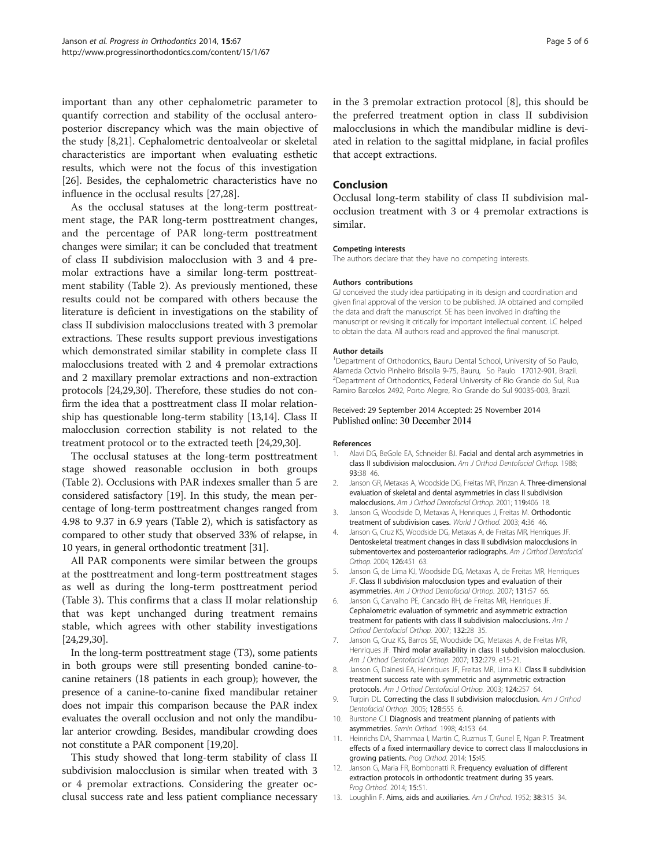<span id="page-4-0"></span>important than any other cephalometric parameter to quantify correction and stability of the occlusal anteroposterior discrepancy which was the main objective of the study [8[,21](#page-5-0)]. Cephalometric dentoalveolar or skeletal characteristics are important when evaluating esthetic results, which were not the focus of this investigation [[26\]](#page-5-0). Besides, the cephalometric characteristics have no influence in the occlusal results [\[27,28\]](#page-5-0).

As the occlusal statuses at the long-term posttreatment stage, the PAR long-term posttreatment changes, and the percentage of PAR long-term posttreatment changes were similar; it can be concluded that treatment of class II subdivision malocclusion with 3 and 4 premolar extractions have a similar long-term posttreatment stability (Table [2\)](#page-3-0). As previously mentioned, these results could not be compared with others because the literature is deficient in investigations on the stability of class II subdivision malocclusions treated with 3 premolar extractions. These results support previous investigations which demonstrated similar stability in complete class II malocclusions treated with 2 and 4 premolar extractions and 2 maxillary premolar extractions and non-extraction protocols [[24,29,30\]](#page-5-0). Therefore, these studies do not confirm the idea that a posttreatment class II molar relationship has questionable long-term stability [13[,14\]](#page-5-0). Class II malocclusion correction stability is not related to the treatment protocol or to the extracted teeth [\[24,29,30](#page-5-0)].

The occlusal statuses at the long-term posttreatment stage showed reasonable occlusion in both groups (Table [2](#page-3-0)). Occlusions with PAR indexes smaller than 5 are considered satisfactory [\[19\]](#page-5-0). In this study, the mean percentage of long-term posttreatment changes ranged from 4.98 to 9.37 in 6.9 years (Table [2\)](#page-3-0), which is satisfactory as compared to other study that observed 33% of relapse, in 10 years, in general orthodontic treatment [\[31\]](#page-5-0).

All PAR components were similar between the groups at the posttreatment and long-term posttreatment stages as well as during the long-term posttreatment period (Table [3\)](#page-3-0). This confirms that a class II molar relationship that was kept unchanged during treatment remains stable, which agrees with other stability investigations [[24,29,30\]](#page-5-0).

In the long-term posttreatment stage (T3), some patients in both groups were still presenting bonded canine-tocanine retainers (18 patients in each group); however, the presence of a canine-to-canine fixed mandibular retainer does not impair this comparison because the PAR index evaluates the overall occlusion and not only the mandibular anterior crowding. Besides, mandibular crowding does not constitute a PAR component [\[19,20](#page-5-0)].

This study showed that long-term stability of class II subdivision malocclusion is similar when treated with 3 or 4 premolar extractions. Considering the greater occlusal success rate and less patient compliance necessary in the 3 premolar extraction protocol [8], this should be the preferred treatment option in class II subdivision malocclusions in which the mandibular midline is deviated in relation to the sagittal midplane, in facial profiles that accept extractions.

#### Conclusion

Occlusal long-term stability of class II subdivision malocclusion treatment with 3 or 4 premolar extractions is similar.

#### Competing interests

The authors declare that they have no competing interests.

#### Authors contributions

GJ conceived the study idea participating in its design and coordination and given final approval of the version to be published. JA obtained and compiled the data and draft the manuscript. SE has been involved in drafting the manuscript or revising it critically for important intellectual content. LC helped to obtain the data. All authors read and approved the final manuscript.

#### Author details

<sup>1</sup>Department of Orthodontics, Bauru Dental School, University of So Paulo, Alameda Octvio Pinheiro Brisolla 9-75, Bauru, So Paulo 17012-901, Brazil. <sup>2</sup>Department of Orthodontics, Federal University of Rio Grande do Sul, Rua Ramiro Barcelos 2492, Porto Alegre, Rio Grande do Sul 90035-003, Brazil.

#### Received: 29 September 2014 Accepted: 25 November 2014 Published online: 30 December 2014

#### References

- 1. Alavi DG, BeGole EA, Schneider BJ. Facial and dental arch asymmetries in class II subdivision malocclusion. Am J Orthod Dentofacial Orthop. 1988; 93:38 46.
- 2. Janson GR, Metaxas A, Woodside DG, Freitas MR, Pinzan A. Three-dimensional evaluation of skeletal and dental asymmetries in class II subdivision malocclusions. Am J Orthod Dentofacial Orthop. 2001; 119:406 18.
- 3. Janson G, Woodside D, Metaxas A, Henriques J, Freitas M. Orthodontic treatment of subdivision cases. World J Orthod. 2003; 4:36 46.
- 4. Janson G, Cruz KS, Woodside DG, Metaxas A, de Freitas MR, Henriques JF. Dentoskeletal treatment changes in class II subdivision malocclusions in submentovertex and posteroanterior radiographs. Am J Orthod Dentofacial Orthop. 2004; 126:451 63.
- 5. Janson G, de Lima KJ, Woodside DG, Metaxas A, de Freitas MR, Henriques JF. Class II subdivision malocclusion types and evaluation of their asymmetries. Am J Orthod Dentofacial Orthop. 2007; 131:57 66.
- 6. Janson G, Carvalho PE, Cancado RH, de Freitas MR, Henriques JF. Cephalometric evaluation of symmetric and asymmetric extraction treatment for patients with class II subdivision malocclusions. Am J Orthod Dentofacial Orthop. 2007; 132:28 35.
- Janson G, Cruz KS, Barros SE, Woodside DG, Metaxas A, de Freitas MR, Henriques JF. Third molar availability in class II subdivision malocclusion. Am J Orthod Dentofacial Orthop. 2007; 132:279. e15-21.
- 8. Janson G, Dainesi EA, Henriques JF, Freitas MR, Lima KJ. Class II subdivision treatment success rate with symmetric and asymmetric extraction protocols. Am J Orthod Dentofacial Orthop. 2003; 124:257 64.
- 9. Turpin DL. Correcting the class II subdivision malocclusion. Am J Orthod Dentofacial Orthop. 2005; 128:555 6.
- 10. Burstone CJ. Diagnosis and treatment planning of patients with asymmetries. Semin Orthod. 1998; 4:153 64.
- 11. Heinrichs DA, Shammaa I, Martin C, Ruzmus T, Gunel E, Ngan P. Treatment effects of a fixed intermaxillary device to correct class II malocclusions in growing patients. Prog Orthod. 2014; 15:45.
- 12. Janson G, Maria FR, Bombonatti R. Frequency evaluation of different extraction protocols in orthodontic treatment during 35 years. Prog Orthod. 2014; 15:51.
- 13. Loughlin F. Aims, aids and auxiliaries. Am J Orthod. 1952; 38:315 34.